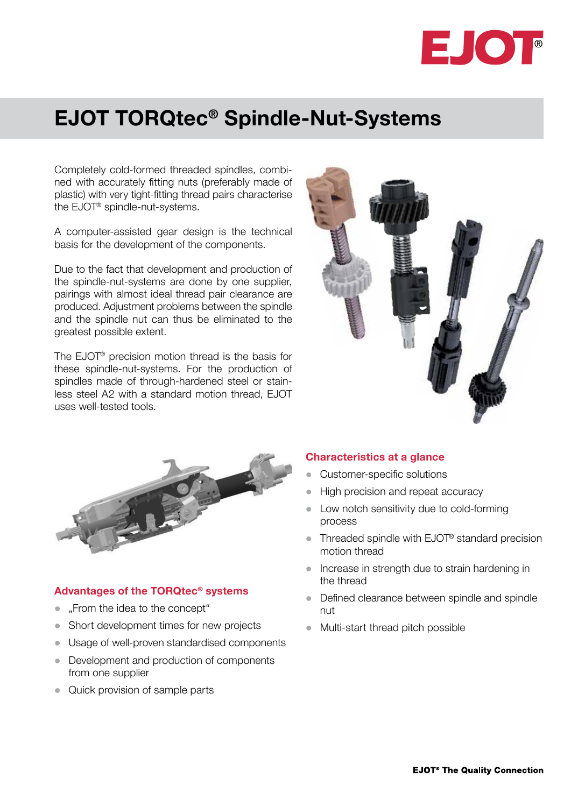

# EJOT TORQtec® Spindle-Nut-Systems

Completely cold-formed threaded spindles, combined with accurately fitting nuts (preferably made of plastic) with very tight-fitting thread pairs characterise the EJOT® spindle-nut-systems.

A computer-assisted gear design is the technical basis for the development of the components.

Due to the fact that development and production of the spindle-nut-systems are done by one supplier, pairings with almost ideal thread pair clearance are produced. Adjustment problems between the spindle and the spindle nut can thus be eliminated to the greatest possible extent.

The EJOT® precision motion thread is the basis for these spindle-nut-systems. For the production of spindles made of through-hardened steel or stainless steel A2 with a standard motion thread, EJOT uses well-tested tools.





#### Advantages of the TORQtec® systems

- "From the idea to the concept"
- Short development times for new projects
- Usage of well-proven standardised components
- Development and production of components from one supplier
- Quick provision of sample parts

### Characteristics at a glance

- Customer-specific solutions
- High precision and repeat accuracy
- Low notch sensitivity due to cold-forming process
- $\bullet$  Threaded spindle with EJOT® standard precision motion thread
- $\bullet$  Increase in strength due to strain hardening in the thread
- Defined clearance between spindle and spindle nut
- Multi-start thread pitch possible